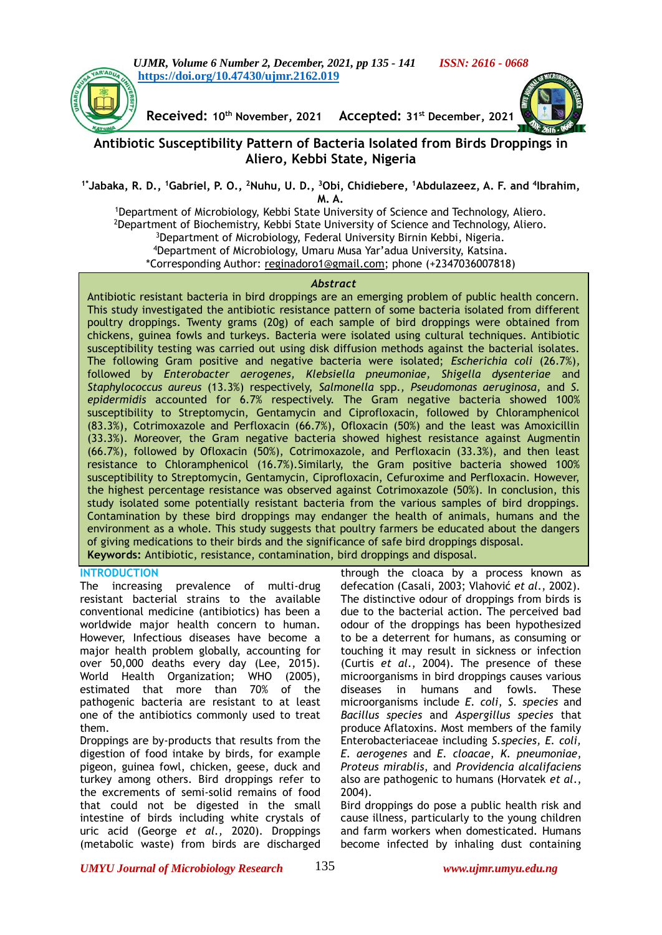

**Received: 10th November, 2021 Accepted: 31 st December, 2021**

# **Antibiotic Susceptibility Pattern of Bacteria Isolated from Birds Droppings in Aliero, Kebbi State, Nigeria**

### **1\*Jabaka, R. D., <sup>1</sup>Gabriel, P. O., <sup>2</sup>Nuhu, U. D., <sup>3</sup>Obi, Chidiebere, <sup>1</sup>Abdulazeez, A. F. and <sup>4</sup> Ibrahim, M. A.**

<sup>1</sup>Department of Microbiology, Kebbi State University of Science and Technology, Aliero. <sup>2</sup>Department of Biochemistry, Kebbi State University of Science and Technology, Aliero. <sup>3</sup>Department of Microbiology, Federal University Birnin Kebbi, Nigeria. <sup>4</sup>Department of Microbiology, Umaru Musa Yar'adua University, Katsina. \*Corresponding Author: [reginadoro1@gmail.com;](mailto:reginadoro1@gmail.com) phone (+2347036007818)

#### *Abstract*

Antibiotic resistant bacteria in bird droppings are an emerging problem of public health concern. This study investigated the antibiotic resistance pattern of some bacteria isolated from different poultry droppings. Twenty grams (20g) of each sample of bird droppings were obtained from chickens, guinea fowls and turkeys. Bacteria were isolated using cultural techniques. Antibiotic susceptibility testing was carried out using disk diffusion methods against the bacterial isolates. The following Gram positive and negative bacteria were isolated; *Escherichia coli* (26.7%)*,* followed by *Enterobacter aerogenes, Klebsiella pneumoniae, Shigella dysenteriae* and *Staphylococcus aureus* (13.3%) respectively, *Salmonella* spp.*, Pseudomonas aeruginosa,* and *S. epidermidis* accounted for 6.7% respectively. The Gram negative bacteria showed 100% susceptibility to Streptomycin, Gentamycin and Ciprofloxacin, followed by Chloramphenicol (83.3%), Cotrimoxazole and Perfloxacin (66.7%), Ofloxacin (50%) and the least was Amoxicillin (33.3%). Moreover, the Gram negative bacteria showed highest resistance against Augmentin (66.7%), followed by Ofloxacin (50%), Cotrimoxazole, and Perfloxacin (33.3%), and then least resistance to Chloramphenicol (16.7%).Similarly, the Gram positive bacteria showed 100% susceptibility to Streptomycin, Gentamycin, Ciprofloxacin, Cefuroxime and Perfloxacin. However, the highest percentage resistance was observed against Cotrimoxazole (50%). In conclusion, this study isolated some potentially resistant bacteria from the various samples of bird droppings. Contamination by these bird droppings may endanger the health of animals, humans and the environment as a whole. This study suggests that poultry farmers be educated about the dangers of giving medications to their birds and the significance of safe bird droppings disposal. **Keywords:** Antibiotic, resistance, contamination, bird droppings and disposal.

### **INTRODUCTION**

The increasing prevalence of multi-drug resistant bacterial strains to the available conventional medicine (antibiotics) has been a worldwide major health concern to human. However, Infectious diseases have become a major health problem globally, accounting for over 50,000 deaths every day (Lee, 2015). World Health Organization; WHO (2005), estimated that more than 70% of the pathogenic bacteria are resistant to at least one of the antibiotics commonly used to treat them.

Droppings are by-products that results from the digestion of food intake by birds, for example pigeon, guinea fowl, chicken, geese, duck and turkey among others. Bird droppings refer to the excrements of semi-solid remains of food that could not be digested in the small intestine of birds including white crystals of uric acid (George *et al.,* 2020). Droppings (metabolic waste) from birds are discharged

through the cloaca by a process known as defecation (Casali, 2003; Vlahović *et al*., 2002). The distinctive odour of droppings from birds is due to the bacterial action. The perceived bad odour of the droppings has been hypothesized to be a deterrent for humans, as consuming or touching it may result in sickness or infection (Curtis *et al*., 2004). The presence of these microorganisms in bird droppings causes various diseases in humans and fowls. These microorganisms include *E. coli*, *S. species* and *Bacillus species* and *Aspergillus species* that produce Aflatoxins. Most members of the family Enterobacteriaceae including *S.species, E. coli, E. aerogenes* and *E. cloacae*, *K. pneumoniae*, *Proteus mirablis*, and *Providencia alcalifaciens* also are pathogenic to humans (Horvatek *et al*., 2004).

Bird droppings do pose a public health risk and cause illness, particularly to the young children and farm workers when domesticated. Humans become infected by inhaling dust containing

*UMYU Journal of Microbiology Research www.ujmr.umyu.edu.ng*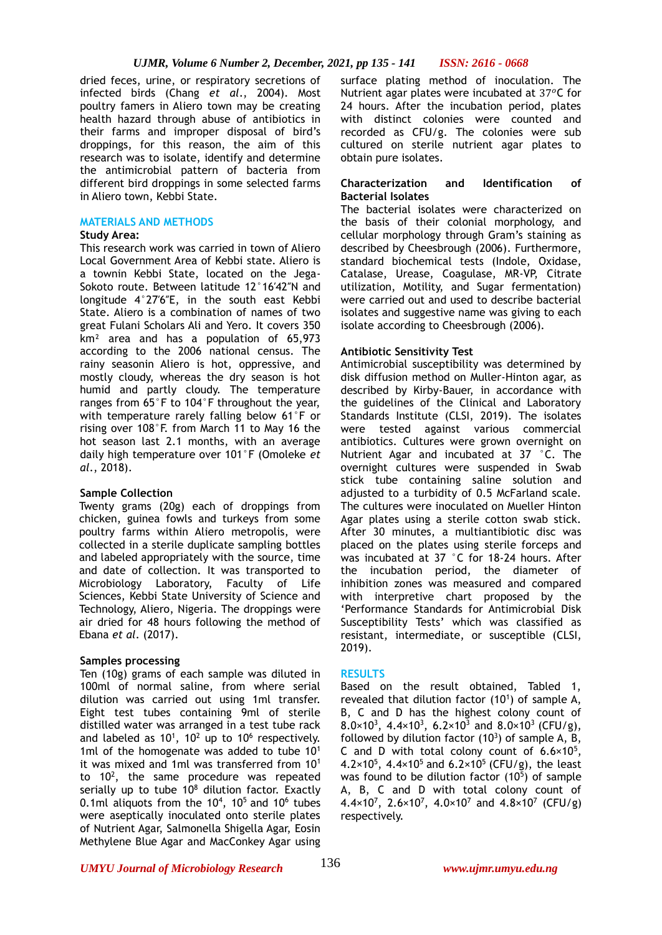dried feces, urine, or respiratory secretions of infected birds (Chang *et al*., 2004). Most poultry famers in Aliero town may be creating health hazard through abuse of antibiotics in their farms and improper disposal of bird's droppings, for this reason, the aim of this research was to isolate, identify and determine the antimicrobial pattern of bacteria from different bird droppings in some selected farms in Aliero town, Kebbi State.

### **MATERIALS AND METHODS**

### **Study Area:**

This research work was carried in town of Aliero Local Government Area of Kebbi state. Aliero is a townin Kebbi State, located on the Jega-Sokoto route. Between latitude 12°16′42″N and longitude 4°27′6″E, in the south east Kebbi State. Aliero is a combination of names of two great Fulani Scholars Ali and Yero. It covers 350 km² area and has a population of 65,973 according to the 2006 national census. The rainy seasonin Aliero is hot, oppressive, and mostly cloudy, whereas the dry season is hot humid and partly cloudy. The temperature ranges from 65°F to 104°F throughout the year, with temperature rarely falling below 61°F or rising over 108°F. from March 11 to May 16 the hot season last 2.1 months, with an average daily high temperature over 101°F (Omoleke *et al*., 2018).

## **Sample Collection**

Twenty grams (20g) each of droppings from chicken, guinea fowls and turkeys from some poultry farms within Aliero metropolis, were collected in a sterile duplicate sampling bottles and labeled appropriately with the source, time and date of collection. It was transported to Microbiology Laboratory, Faculty of Life Sciences, Kebbi State University of Science and Technology, Aliero, Nigeria. The droppings were air dried for 48 hours following the method of Ebana *et al*. (2017).

## **Samples processing**

Ten (10g) grams of each sample was diluted in 100ml of normal saline, from where serial dilution was carried out using 1ml transfer. Eight test tubes containing 9ml of sterile distilled water was arranged in a test tube rack and labeled as  $10^1$ ,  $10^2$  up to  $10^6$  respectively. 1ml of the homogenate was added to tube 10<sup>1</sup> it was mixed and 1ml was transferred from 10<sup>1</sup> to  $10<sup>2</sup>$ , the same procedure was repeated serially up to tube  $10^8$  dilution factor. Exactly 0.1ml aliquots from the  $10^4$ ,  $10^5$  and  $10^6$  tubes were aseptically inoculated onto sterile plates of Nutrient Agar, Salmonella Shigella Agar, Eosin Methylene Blue Agar and MacConkey Agar using

surface plating method of inoculation. The Nutrient agar plates were incubated at  $37^{\circ}$ C for 24 hours. After the incubation period, plates with distinct colonies were counted and recorded as CFU/g. The colonies were sub cultured on sterile nutrient agar plates to obtain pure isolates.

### **Characterization and Identification of Bacterial Isolates**

The bacterial isolates were characterized on the basis of their colonial morphology, and cellular morphology through Gram's staining as described by Cheesbrough (2006). Furthermore, standard biochemical tests (Indole, Oxidase, Catalase, Urease, Coagulase, MR-VP, Citrate utilization, Motility, and Sugar fermentation) were carried out and used to describe bacterial isolates and suggestive name was giving to each isolate according to Cheesbrough (2006).

### **Antibiotic Sensitivity Test**

Antimicrobial susceptibility was determined by disk diffusion method on Muller-Hinton agar, as described by Kirby-Bauer, in accordance with the guidelines of the Clinical and Laboratory Standards Institute (CLSI, 2019). The isolates were tested against various commercial antibiotics. Cultures were grown overnight on Nutrient Agar and incubated at 37 °C. The overnight cultures were suspended in Swab stick tube containing saline solution and adjusted to a turbidity of 0.5 McFarland scale. The cultures were inoculated on Mueller Hinton Agar plates using a sterile cotton swab stick. After 30 minutes, a multiantibiotic disc was placed on the plates using sterile forceps and was incubated at 37 °C for 18-24 hours. After the incubation period, the diameter of inhibition zones was measured and compared with interpretive chart proposed by the 'Performance Standards for Antimicrobial Disk Susceptibility Tests' which was classified as resistant, intermediate, or susceptible (CLSI, 2019).

### **RESULTS**

Based on the result obtained, Tabled 1, revealed that dilution factor  $(10^1)$  of sample A, B, C and D has the highest colony count of 8.0×10<sup>3</sup>, 4.4×10<sup>3</sup>, 6.2×10<sup>3</sup> and 8.0×10<sup>3</sup> (CFU/g), followed by dilution factor  $(10^3)$  of sample A, B, C and D with total colony count of  $6.6 \times 10^5$ , 4.2×10<sup>5</sup>, 4.4×10<sup>5</sup> and 6.2×10<sup>5</sup> (CFU/g), the least was found to be dilution factor  $(10<sup>5</sup>)$  of sample A, B, C and D with total colony count of 4.4×10<sup>7</sup>, 2.6×10<sup>7</sup>, 4.0×10<sup>7</sup> and 4.8×10<sup>7</sup> (CFU/g) respectively.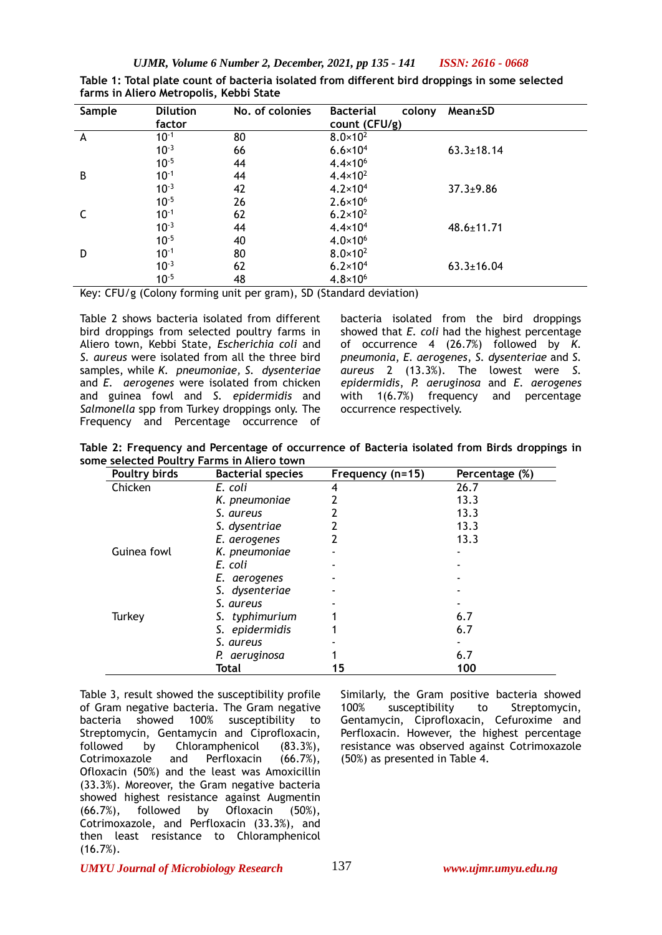*UJMR, Volume 6 Number 2, December, 2021, pp 135 - 141 ISSN: 2616 - 0668*

| Sample | <b>Dilution</b><br>factor | No. of colonies | <b>Bacterial</b><br>colony<br>count (CFU/g) | Mean±SD          |
|--------|---------------------------|-----------------|---------------------------------------------|------------------|
| A      | $10^{-1}$                 | 80              | $8.0 \times 10^{2}$                         |                  |
|        | $10^{-3}$                 | 66              | $6.6 \times 10^{4}$                         | $63.3 \pm 18.14$ |
|        | $10^{-5}$                 | 44              | $4.4 \times 10^{6}$                         |                  |
| В      | $10^{-1}$                 | 44              | $4.4 \times 10^{2}$                         |                  |
|        | $10^{-3}$                 | 42              | $4.2 \times 10^{4}$                         | $37.3 \pm 9.86$  |
|        | $10^{-5}$                 | 26              | $2.6 \times 10^{6}$                         |                  |
|        | $10^{-1}$                 | 62              | $6.2 \times 10^{2}$                         |                  |
|        | $10^{-3}$                 | 44              | $4.4 \times 10^{4}$                         | $48.6 \pm 11.71$ |
|        | $10^{-5}$                 | 40              | $4.0 \times 10^{6}$                         |                  |
| D      | $10^{-1}$                 | 80              | $8.0 \times 10^{2}$                         |                  |
|        | $10^{-3}$                 | 62              | $6.2 \times 10^{4}$                         | $63.3 \pm 16.04$ |
|        | $10^{-5}$                 | 48              | $4.8 \times 10^{6}$                         |                  |

**Table 1: Total plate count of bacteria isolated from different bird droppings in some selected farms in Aliero Metropolis, Kebbi State**

Key: CFU/g (Colony forming unit per gram), SD (Standard deviation)

Table 2 shows bacteria isolated from different bird droppings from selected poultry farms in Aliero town, Kebbi State, *Escherichia coli* and *S. aureus* were isolated from all the three bird samples, while *K. pneumoniae, S. dysenteriae*  and *E. aerogenes* were isolated from chicken and guinea fowl and *S. epidermidis* and *Salmonella* spp from Turkey droppings only. The Frequency and Percentage occurrence of

bacteria isolated from the bird droppings showed that *E. coli* had the highest percentage of occurrence 4 (26.7%) followed by *K. pneumonia*, *E. aerogenes*, *S. dysenteriae* and *S. aureus* 2 (13.3%). The lowest were *S. epidermidis*, *P. aeruginosa* and *E. aerogenes* with 1(6.7%) frequency and percentage occurrence respectively.

**Table 2: Frequency and Percentage of occurrence of Bacteria isolated from Birds droppings in some selected Poultry Farms in Aliero town**

| Poultry birds | <b>Bacterial species</b> | Frequency (n=15) | Percentage (%) |
|---------------|--------------------------|------------------|----------------|
| Chicken       | E. coli                  |                  | 26.7           |
|               | K. pneumoniae            |                  | 13.3           |
|               | S. aureus                |                  | 13.3           |
|               | S. dysentriae            |                  | 13.3           |
|               | E. aerogenes             |                  | 13.3           |
| Guinea fowl   | K. pneumoniae            |                  |                |
|               | E. coli                  |                  |                |
|               | E. aerogenes             |                  |                |
|               | S. dysenteriae           |                  |                |
|               | S. aureus                |                  |                |
| Turkey        | S. typhimurium           |                  | 6.7            |
|               | S. epidermidis           |                  | 6.7            |
|               | S. aureus                |                  |                |
|               | P. aeruginosa            |                  | 6.7            |
|               | Total                    | 15               | 100            |

Table 3, result showed the susceptibility profile of Gram negative bacteria. The Gram negative bacteria showed 100% susceptibility to Streptomycin, Gentamycin and Ciprofloxacin, followed by Chloramphenicol (83.3%), Cotrimoxazole and Perfloxacin (66.7%), Ofloxacin (50%) and the least was Amoxicillin (33.3%). Moreover, the Gram negative bacteria showed highest resistance against Augmentin (66.7%), followed by Ofloxacin (50%), Cotrimoxazole, and Perfloxacin (33.3%), and then least resistance to Chloramphenicol (16.7%).

Similarly, the Gram positive bacteria showed 100% susceptibility to Streptomycin, Gentamycin, Ciprofloxacin, Cefuroxime and Perfloxacin. However, the highest percentage resistance was observed against Cotrimoxazole (50%) as presented in Table 4.

*UMYU Journal of Microbiology Research www.ujmr.umyu.edu.ng*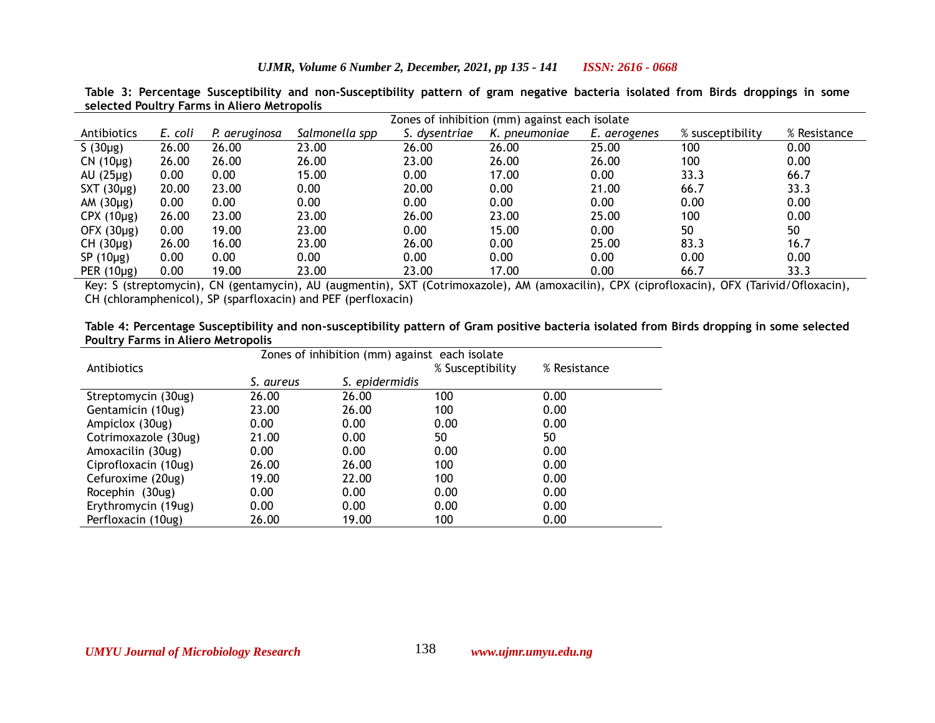|                 |         |               | Zones of inhibition (mm) against each isolate |               |               |              |                  |              |
|-----------------|---------|---------------|-----------------------------------------------|---------------|---------------|--------------|------------------|--------------|
| Antibiotics     | E. coli | P. aeruginosa | Salmonella spp                                | S. dysentriae | K. pneumoniae | E. aerogenes | % susceptibility | % Resistance |
| S $(30\mu g)$   | 26.00   | 26.00         | 23.00                                         | 26.00         | 26.00         | 25.00        | 100              | 0.00         |
| $CN(10\mu g)$   | 26.00   | 26.00         | 26.00                                         | 23.00         | 26.00         | 26.00        | 100              | 0.00         |
| $AU(25\mu g)$   | 0.00    | 0.00          | 15.00                                         | 0.00          | 17.00         | 0.00         | 33.3             | 66.7         |
| $SXT(30\mu g)$  | 20.00   | 23.00         | 0.00                                          | 20.00         | 0.00          | 21.00        | 66.7             | 33.3         |
| AM $(30\mu g)$  | 0.00    | 0.00          | 0.00                                          | 0.00          | 0.00          | 0.00         | 0.00             | 0.00         |
| $CPX(10\mu g)$  | 26.00   | 23.00         | 23.00                                         | 26.00         | 23.00         | 25.00        | 100              | 0.00         |
| OFX $(30\mu g)$ | 0.00    | 19.00         | 23.00                                         | 0.00          | 15.00         | 0.00         | 50               | 50           |
| $CH(30\mu g)$   | 26.00   | 16.00         | 23.00                                         | 26.00         | 0.00          | 25.00        | 83.3             | 16.7         |
| SP $(10\mu g)$  | 0.00    | 0.00          | 0.00                                          | 0.00          | 0.00          | 0.00         | 0.00             | 0.00         |
| PER $(10\mu g)$ | 0.00    | 19.00         | 23.00                                         | 23.00         | 17.00         | 0.00         | 66.7             | 33.3         |

**Table 3: Percentage Susceptibility and non-Susceptibility pattern of gram negative bacteria isolated from Birds droppings in some selected Poultry Farms in Aliero Metropolis**

Key: S (streptomycin), CN (gentamycin), AU (augmentin), SXT (Cotrimoxazole), AM (amoxacilin), CPX (ciprofloxacin), OFX (Tarivid/Ofloxacin), CH (chloramphenicol), SP (sparfloxacin) and PEF (perfloxacin)

**Table 4: Percentage Susceptibility and non-susceptibility pattern of Gram positive bacteria isolated from Birds dropping in some selected Poultry Farms in Aliero Metropolis**

|                      | Zones of inhibition (mm) against each isolate |       |                  |              |  |
|----------------------|-----------------------------------------------|-------|------------------|--------------|--|
| Antibiotics          |                                               |       | % Susceptibility | % Resistance |  |
|                      | S. epidermidis<br>S. aureus                   |       |                  |              |  |
| Streptomycin (30ug)  | 26.00                                         | 26.00 | 100              | 0.00         |  |
| Gentamicin (10ug)    | 23.00                                         | 26.00 | 100              | 0.00         |  |
| Ampiclox (30ug)      | 0.00                                          | 0.00  | 0.00             | 0.00         |  |
| Cotrimoxazole (30ug) | 21.00                                         | 0.00  | 50               | 50           |  |
| Amoxacilin (30ug)    | 0.00                                          | 0.00  | 0.00             | 0.00         |  |
| Ciprofloxacin (10ug) | 26.00                                         | 26.00 | 100              | 0.00         |  |
| Cefuroxime (20ug)    | 19.00                                         | 22.00 | 100              | 0.00         |  |
| Rocephin (30ug)      | 0.00                                          | 0.00  | 0.00             | 0.00         |  |
| Erythromycin (19ug)  | 0.00                                          | 0.00  | 0.00             | 0.00         |  |
| Perfloxacin (10ug)   | 26.00                                         | 19.00 | 100              | 0.00         |  |
|                      |                                               |       |                  |              |  |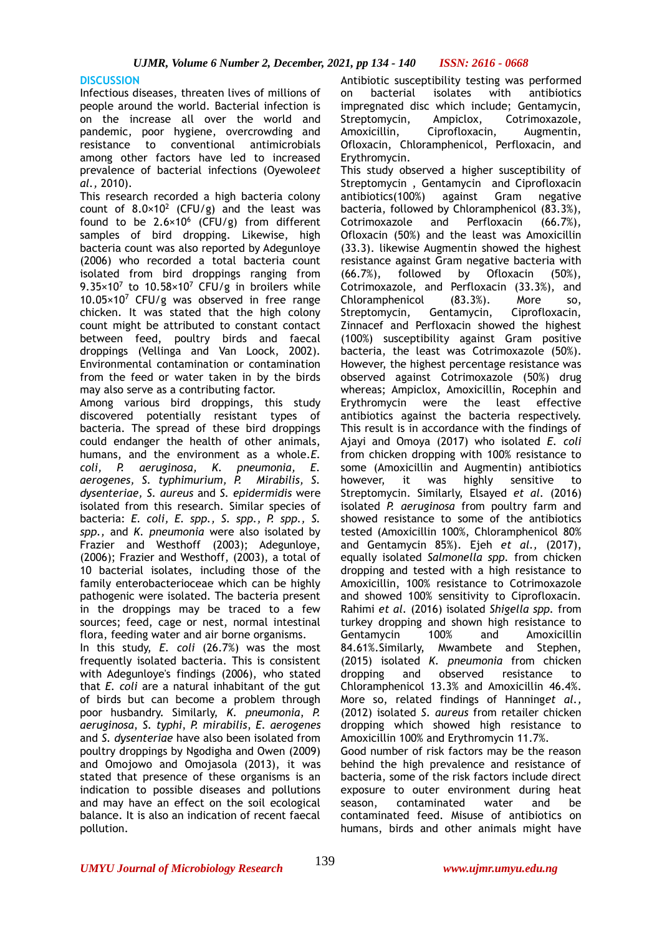# **DISCUSSION**

Infectious diseases, threaten lives of millions of people around the world. Bacterial infection is on the increase all over the world and pandemic, poor hygiene, overcrowding and resistance to conventional antimicrobials among other factors have led to increased prevalence of bacterial infections (Oyewole*et al.,* 2010).

This research recorded a high bacteria colony count of  $8.0 \times 10^2$  (CFU/g) and the least was found to be  $2.6 \times 10^6$  (CFU/g) from different samples of bird dropping. Likewise, high bacteria count was also reported by Adegunloye (2006) who recorded a total bacteria count isolated from bird droppings ranging from 9.35 $\times$ 10<sup>7</sup> to 10.58 $\times$ 10<sup>7</sup> CFU/g in broilers while 10.05×10<sup>7</sup> CFU/g was observed in free range chicken. It was stated that the high colony count might be attributed to constant contact between feed, poultry birds and faecal droppings (Vellinga and Van Loock, 2002). Environmental contamination or contamination from the feed or water taken in by the birds may also serve as a contributing factor.

Among various bird droppings, this study discovered potentially resistant types of bacteria. The spread of these bird droppings could endanger the health of other animals, humans, and the environment as a whole.*E. coli, P. aeruginosa, K. pneumonia, E. aerogenes, S. typhimurium, P. Mirabilis, S. dysenteriae, S. aureus* and *S. epidermidis* were isolated from this research. Similar species of bacteria: *E. coli, E. spp., S. spp., P. spp., S. spp.,* and *K. pneumonia* were also isolated by Frazier and Westhoff (2003); Adegunloye, (2006); Frazier and Westhoff, (2003), a total of 10 bacterial isolates, including those of the family enterobacterioceae which can be highly pathogenic were isolated. The bacteria present in the droppings may be traced to a few sources; feed, cage or nest, normal intestinal flora, feeding water and air borne organisms.

In this study, *E. coli* (26.7%) was the most frequently isolated bacteria. This is consistent with Adegunloye's findings (2006), who stated that *E. coli* are a natural inhabitant of the gut of birds but can become a problem through poor husbandry. Similarly, *K. pneumonia*, *P. aeruginosa*, *S. typhi*, *P. mirabilis*, *E. aerogenes*  and *S. dysenteriae* have also been isolated from poultry droppings by Ngodigha and Owen (2009) and Omojowo and Omojasola (2013), it was stated that presence of these organisms is an indication to possible diseases and pollutions and may have an effect on the soil ecological balance. It is also an indication of recent faecal pollution.

Antibiotic susceptibility testing was performed on bacterial isolates with antibiotics impregnated disc which include; Gentamycin, Streptomycin, Ampiclox, Cotrimoxazole, Amoxicillin, Ciprofloxacin, Augmentin, Ofloxacin, Chloramphenicol, Perfloxacin, and Erythromycin.

This study observed a higher susceptibility of Streptomycin , Gentamycin and Ciprofloxacin antibiotics(100%) against Gram negative bacteria, followed by Chloramphenicol (83.3%), Cotrimoxazole and Perfloxacin (66.7%), Ofloxacin (50%) and the least was Amoxicillin (33.3). likewise Augmentin showed the highest resistance against Gram negative bacteria with (66.7%), followed by Ofloxacin (50%), Cotrimoxazole, and Perfloxacin (33.3%), and Chloramphenicol (83.3%). More so, Streptomycin, Gentamycin, Ciprofloxacin, Zinnacef and Perfloxacin showed the highest (100%) susceptibility against Gram positive bacteria, the least was Cotrimoxazole (50%). However, the highest percentage resistance was observed against Cotrimoxazole (50%) drug whereas; Ampiclox, Amoxicillin, Rocephin and Erythromycin were the least effective antibiotics against the bacteria respectively. This result is in accordance with the findings of Ajayi and Omoya (2017) who isolated *E. coli* from chicken dropping with 100% resistance to some (Amoxicillin and Augmentin) antibiotics however, it was highly sensitive to Streptomycin. Similarly, Elsayed *et al.* (2016) isolated *P. aeruginosa* from poultry farm and showed resistance to some of the antibiotics tested (Amoxicillin 100%, Chloramphenicol 80% and Gentamycin 85%). Ejeh *et al.,* (2017), equally isolated *Salmonella spp.* from chicken dropping and tested with a high resistance to Amoxicillin, 100% resistance to Cotrimoxazole and showed 100% sensitivity to Ciprofloxacin. Rahimi *et al.* (2016) isolated *Shigella spp.* from turkey dropping and shown high resistance to Gentamycin 100% and Amoxicillin 84.61%.Similarly, Mwambete and Stephen, (2015) isolated *K. pneumonia* from chicken dropping and observed resistance to Chloramphenicol 13.3% and Amoxicillin 46.4%. More so, related findings of Hanning*et al.,* (2012) isolated *S. aureus* from retailer chicken dropping which showed high resistance to Amoxicillin 100% and Erythromycin 11.7%. Good number of risk factors may be the reason

behind the high prevalence and resistance of bacteria, some of the risk factors include direct exposure to outer environment during heat season, contaminated water and be contaminated feed. Misuse of antibiotics on humans, birds and other animals might have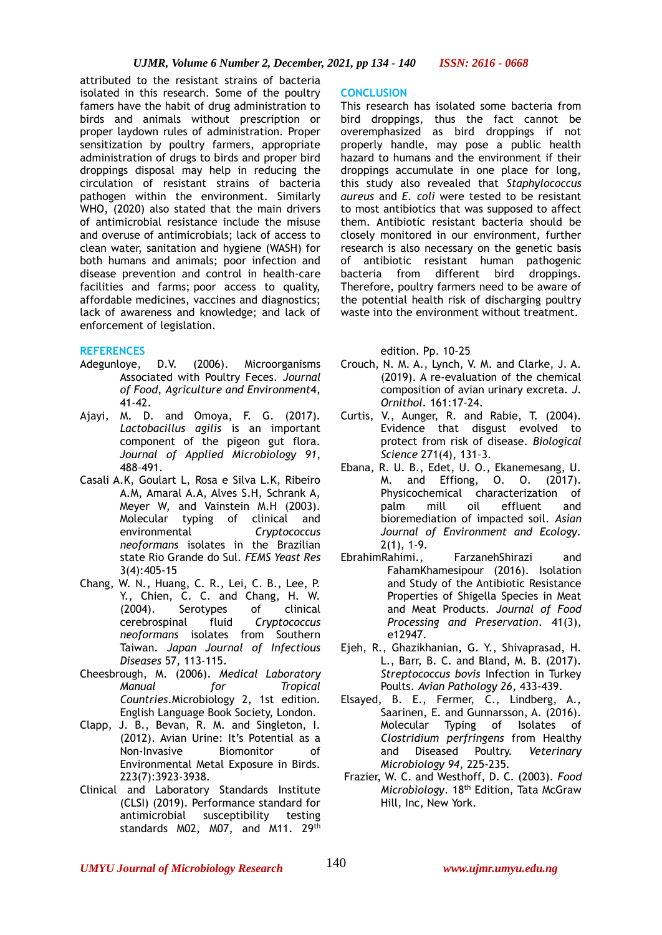attributed to the resistant strains of bacteria isolated in this research. Some of the poultry famers have the habit of drug administration to birds and animals without prescription or proper laydown rules of administration. Proper sensitization by poultry farmers, appropriate administration of drugs to birds and proper bird droppings disposal may help in reducing the circulation of resistant strains of bacteria pathogen within the environment. Similarly WHO, (2020) also stated that the main drivers of antimicrobial resistance include the misuse and overuse of antimicrobials; lack of access to clean water, sanitation and hygiene (WASH) for both humans and animals; poor infection and disease prevention and control in health-care facilities and farms; poor access to quality, affordable medicines, vaccines and diagnostics; lack of awareness and knowledge; and lack of enforcement of legislation.

### **REFERENCES**

- Adegunloye, D.V. (2006). Microorganisms Associated with Poultry Feces. *Journal of Food*, *Agriculture and Environment*4, 41-42.
- Ajayi, M. D. and Omoya, F. G. (2017). *Lactobacillus agilis* is an important component of the pigeon gut flora. *Journal of Applied Microbiology 91*, 488–491.
- Casali A.K, Goulart L, Rosa e Silva L.K, Ribeiro A.M, Amaral A.A, Alves S.H, Schrank A, Meyer W, and Vainstein M.H (2003). Molecular typing of clinical and environmental *Cryptococcus neoformans* isolates in the Brazilian state Rio Grande do Sul. *FEMS Yeast Res* 3(4)[:405-15](tel:405-15)
- Chang, W. N., Huang, C. R., Lei, C. B., Lee, P. Y., Chien, C. C. and Chang, H. W. (2004). Serotypes of clinical cerebrospinal fluid *Cryptococcus neoformans* isolates from Southern Taiwan. *Japan Journal of Infectious Diseases* 57, 113-115.
- Cheesbrough, M. (2006). *Medical Laboratory Manual for Tropical Countries*.Microbiology 2, 1st edition. English Language Book Society, London.
- Clapp, J. B., Bevan, R. M. and Singleton, I. (2012). Avian Urine: It's Potential as a Non-Invasive Biomonitor of Environmental Metal Exposure in Birds. 223(7)[:3923](tel:3923)[-3938.](tel:3938)
- Clinical and Laboratory Standards Institute (CLSI) (2019). Performance standard for antimicrobial susceptibility testing standards M02, M07, and M11. 29th

#### **CONCLUSION**

This research has isolated some bacteria from bird droppings, thus the fact cannot be overemphasized as bird droppings if not properly handle, may pose a public health hazard to humans and the environment if their droppings accumulate in one place for long, this study also revealed that *Staphylococcus aureus* and *E. coli* were tested to be resistant to most antibiotics that was supposed to affect them. Antibiotic resistant bacteria should be closely monitored in our environment, further research is also necessary on the genetic basis of antibiotic resistant human pathogenic bacteria from different bird droppings. Therefore, poultry farmers need to be aware of the potential health risk of discharging poultry waste into the environment without treatment.

edition. Pp. 10-25

- Crouch, N. M. A., Lynch, V. M. and Clarke, J. A. [\(2019\)](tel:2019). A re-evaluation of the chemical composition of avian urinary excreta. *J. Ornithol.* [161:](tel:161)17-24.
- Curtis, V., Aunger, R. and Rabie, T. (2004). Evidence that disgust evolved to protect from risk of disease. *Biological Science* 271(4), 131–3.
- Ebana, R. U. B., Edet, U. O., Ekanemesang, U. M. and Effiong, O. O. (2017). Physicochemical characterization of palm mill oil effluent and bioremediation of impacted soil. *Asian Journal of Environment and Ecology.* 2(1), 1-9.
- EbrahimRahimi., FarzanehShirazi and FahamKhamesipour (2016). Isolation and Study of the Antibiotic Resistance Properties of Shigella Species in Meat and Meat Products. *Journal of Food Processing and Preservation*. 41(3), [e12947.](tel:12947)
- Ejeh, R., Ghazikhanian, G. Y., Shivaprasad, H. L., Barr, B. C. and Bland, M. B. (2017). *Streptococcus bovis* Infection in Turkey Poults. *Avian Pathology 26*, 433-439.
- Elsayed, B. E., Fermer, C., Lindberg, A., Saarinen, E. and Gunnarsson, A. (2016). Molecular Typing of Isolates of *Clostridium perfringens* from Healthy and Diseased Poultry. *Veterinary Microbiology 94*, 225-235.
- Frazier, W. C. and Westhoff, D. C. (2003). *Food Microbiology*. 18th Edition, Tata McGraw Hill, Inc, New York.